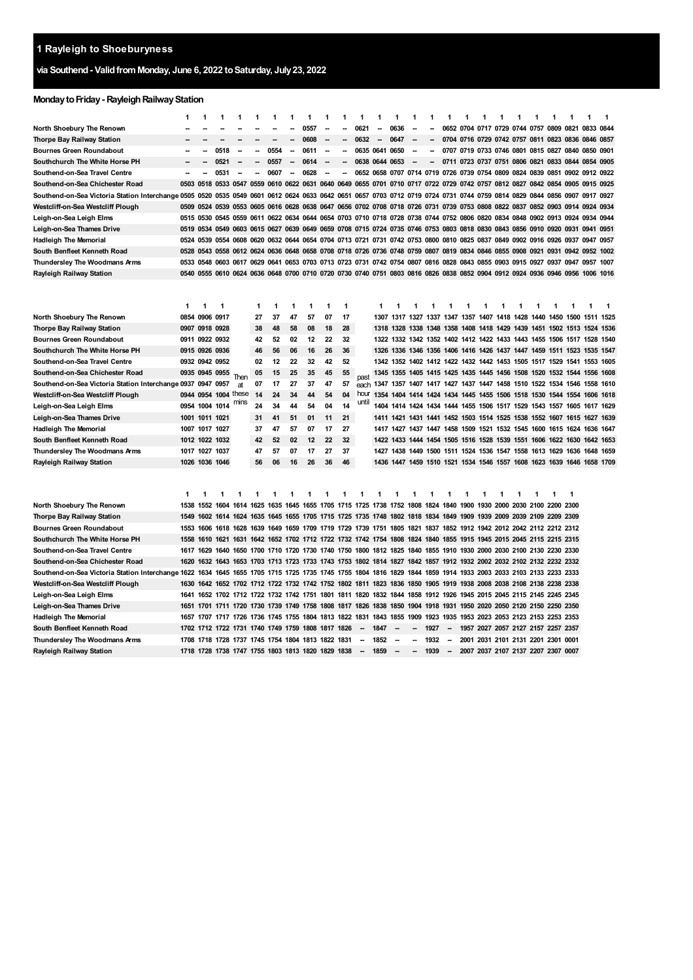# **via Southend- ValidfromMonday, June 6, 2022 toSaturday, July23, 2022**

# **Monday to Friday - Rayleigh Railway Station**

|                                                                                                                                                                 | 1    | 1                   | 1                                                                                                                            | 1                        | 1                        | 1                             | 1              | 1         | 1                        | 1                                                                                                             | 1                        | 1                                                                          | 1                        | 1                        | 1    | 1                                            | 1 | 1 | 1                                  | 1 | 1 | 1 | 1                                                                          | 1              | 1    |
|-----------------------------------------------------------------------------------------------------------------------------------------------------------------|------|---------------------|------------------------------------------------------------------------------------------------------------------------------|--------------------------|--------------------------|-------------------------------|----------------|-----------|--------------------------|---------------------------------------------------------------------------------------------------------------|--------------------------|----------------------------------------------------------------------------|--------------------------|--------------------------|------|----------------------------------------------|---|---|------------------------------------|---|---|---|----------------------------------------------------------------------------|----------------|------|
| North Shoebury The Renown                                                                                                                                       |      |                     |                                                                                                                              |                          |                          | ٠.                            |                | 0557      | $\overline{a}$           | Ξ.                                                                                                            | 0621                     | $\overline{a}$                                                             | 0636                     | $\sim$                   |      |                                              |   |   |                                    |   |   |   | 0652 0704 0717 0729 0744 0757 0809 0821 0833 0844                          |                |      |
| <b>Thorpe Bay Railway Station</b>                                                                                                                               |      |                     |                                                                                                                              |                          |                          |                               |                | 0608      | -                        | --                                                                                                            | 0632                     | $\overline{\phantom{a}}$                                                   | 0647                     |                          |      |                                              |   |   |                                    |   |   |   | 0704 0716 0729 0742 0757 0811 0823 0836 0846                               |                | 0857 |
| <b>Bournes Green Roundabout</b>                                                                                                                                 |      |                     | 0518                                                                                                                         | $\overline{\phantom{a}}$ | --                       | 0554                          | --             | 0611      | --                       | -                                                                                                             | 0635                     | 0641                                                                       | 0650                     |                          | --   |                                              |   |   |                                    |   |   |   | 0707 0719 0733 0746 0801 0815 0827 0840 0850 0901                          |                |      |
| Southchurch The White Horse PH                                                                                                                                  |      |                     | 0521                                                                                                                         |                          |                          | 0557                          |                | 0614      | $\overline{\phantom{a}}$ | -                                                                                                             | 0638                     | 0644 0653                                                                  |                          |                          |      |                                              |   |   |                                    |   |   |   | 0711 0723 0737 0751 0806 0821 0833 0844 0854 0905                          |                |      |
| Southend-on-Sea Travel Centre                                                                                                                                   |      | --                  | 0531                                                                                                                         | $\overline{\phantom{a}}$ | $\overline{\phantom{a}}$ | 0607                          | $\overline{a}$ | 0628      | ÷                        | -                                                                                                             |                          | 0652 0658 0707 0714 0719 0726 0739 0754 0809 0824 0839 0851 0902 0912 0922 |                          |                          |      |                                              |   |   |                                    |   |   |   |                                                                            |                |      |
| Southend on Sea Chichester Road                                                                                                                                 | 0503 | 0518                |                                                                                                                              |                          |                          | 0533 0547 0559 0610 0622      |                |           |                          | 0631 0640 0649 0655 0701 0710 0717 0722 0729 0742 0757 0812 0827 0842 0854 0905 0915                          |                          |                                                                            |                          |                          |      |                                              |   |   |                                    |   |   |   |                                                                            |                | 0925 |
| Southend-on-Sea Victoria Station Interchange 0505                                                                                                               |      | 0520                | 0535 0549 0601 0612 0624 0633 0642 0651 0657 0703 0712 0719 0724 0731 0744 0759 0814 0829 0844 0856 0907 0917 0927           |                          |                          |                               |                |           |                          |                                                                                                               |                          |                                                                            |                          |                          |      |                                              |   |   |                                    |   |   |   |                                                                            |                |      |
| Westcliff-on-Sea Westcliff Plough                                                                                                                               | 0509 | 0524                |                                                                                                                              |                          |                          |                               |                |           |                          | 0539 0553 0605 0616 0628 0638 0647 0656 0702 0708 0718 0726 0731 0739 0753 0808 0822 0837 0852 0903 0914 0924 |                          |                                                                            |                          |                          |      |                                              |   |   |                                    |   |   |   |                                                                            |                | 0934 |
| Leigh-on-Sea Leigh Elms                                                                                                                                         | 0515 |                     | 0530 0545 0559 0611 0622 0634 0644 0654 0703 0710 0718 0728 0738 0744 0752 0806 0820 0834 0848 0902 0913 0924 0934 0944      |                          |                          |                               |                |           |                          |                                                                                                               |                          |                                                                            |                          |                          |      |                                              |   |   |                                    |   |   |   |                                                                            |                |      |
| Leigh-on-Sea Thames Drive                                                                                                                                       | 0519 | 0534                | 0549                                                                                                                         | 0603 0615 0627           |                          |                               |                |           |                          | 0639 0649 0659 0708 0715 0724 0735 0746 0753 0803 0818 0830 0843 0856 0910 0920 0931                          |                          |                                                                            |                          |                          |      |                                              |   |   |                                    |   |   |   |                                                                            | 0941           | 0951 |
| <b>Hadleigh The Memorial</b>                                                                                                                                    | 0524 | 0539                |                                                                                                                              |                          |                          |                               |                |           |                          | 0554 0608 0620 0632 0644 0654 0704 0713 0721 0731 0742 0753 0800 0810 0825 0837 0849 0902 0916 0926 0937      |                          |                                                                            |                          |                          |      |                                              |   |   |                                    |   |   |   |                                                                            | 0947           | 0957 |
| South Benfleet Kenneth Road                                                                                                                                     | 0528 |                     | 0543 0558 0612 0624 0636 0648 0658 0708 0718 0726 0736 0748 0759 0807 0819 0834 0846 0855 0908 0921 0931 0942 0952 1002      |                          |                          |                               |                |           |                          |                                                                                                               |                          |                                                                            |                          |                          |      |                                              |   |   |                                    |   |   |   |                                                                            |                |      |
| Thundersley The Woodmans Arms                                                                                                                                   | 0533 | 0548                | 0603                                                                                                                         |                          |                          |                               |                |           |                          | 0617 0629 0641 0653 0703 0713 0723 0731 0742 0754 0807 0816 0828 0843 0855 0903 0915 0927 0937 0947 0957 1007 |                          |                                                                            |                          |                          |      |                                              |   |   |                                    |   |   |   |                                                                            |                |      |
| Rayleigh Railway Station                                                                                                                                        |      |                     | 0540 0555 0610 0624 0636 0648 0700 0710 0720 0730 0740 0751 0803 0816 0826 0838 0852 0904 0912 0924 0936 0946 0956 1006 1016 |                          |                          |                               |                |           |                          |                                                                                                               |                          |                                                                            |                          |                          |      |                                              |   |   |                                    |   |   |   |                                                                            |                |      |
| North Shoebury The Renown                                                                                                                                       | 1    | 1<br>0854 0906 0917 | 1                                                                                                                            |                          | 1<br>27                  | 1<br>37                       | 1<br>47        | 1<br>57   | 1<br>07                  | 1<br>17                                                                                                       |                          | 1                                                                          | 1                        | 1                        | 1    | 1                                            | 1 | 1 | 1                                  | 1 | 1 | 1 | 1<br>1307 1317 1327 1337 1347 1357 1407 1418 1428 1440 1450 1500 1511 1525 | 1              | 1    |
| Thorpe Bay Railway Station                                                                                                                                      | 0907 | 0918 0928           |                                                                                                                              |                          | 38                       | 48                            | 58             | 08        | 18                       | 28                                                                                                            |                          |                                                                            | 1318 1328                |                          |      | 1338 1348 1358 1408 1418 1429 1439 1451 1502 |   |   |                                    |   |   |   |                                                                            | 1513 1524 1536 |      |
| <b>Bournes Green Roundabout</b>                                                                                                                                 |      | 0911 0922 0932      |                                                                                                                              |                          | 42                       | 52                            | 02             | 12        | 22                       | 32                                                                                                            |                          |                                                                            |                          |                          |      |                                              |   |   |                                    |   |   |   | 1322 1332 1342 1352 1402 1412 1422 1433 1443 1455 1506 1517 1528 1540      |                |      |
| Southchurch The White Horse PH                                                                                                                                  |      | 0915 0926 0936      |                                                                                                                              |                          | 46                       | 56                            | 06             | 16        | 26                       | 36                                                                                                            |                          |                                                                            | 1326 1336                |                          |      | 1346 1356 1406 1416 1426 1437 1447 1459 1511 |   |   |                                    |   |   |   |                                                                            | 1523 1535 1547 |      |
| Southend-on-Sea Travel Centre                                                                                                                                   |      | 0932 0942 0952      |                                                                                                                              |                          | 02                       | 12                            | 22             | 32        | 42                       | 52                                                                                                            |                          |                                                                            |                          |                          |      |                                              |   |   |                                    |   |   |   | 1342 1352 1402 1412 1422 1432 1442 1453 1505 1517 1529 1541 1553 1605      |                |      |
| Southend-on-Sea Chichester Road                                                                                                                                 |      | 0935 0945 0955      |                                                                                                                              |                          | 05                       | 15                            | 25             | 35        | 45                       | 55                                                                                                            |                          |                                                                            |                          |                          |      |                                              |   |   |                                    |   |   |   | 1345 1355 1405 1415 1425 1435 1445 1456 1508 1520 1532 1544 1556 1608      |                |      |
| Southend-on-Sea Victoria Station Interchange 0937 0947 0957                                                                                                     |      |                     |                                                                                                                              | Then<br>at               | 07                       | 17                            | 27             | 37        | 47                       | 57                                                                                                            | past<br>each             |                                                                            |                          |                          |      |                                              |   |   |                                    |   |   |   | 1347 1357 1407 1417 1427 1437 1447 1458 1510 1522 1534 1546 1558 1610      |                |      |
| Westcliff on Sea Westcliff Plough                                                                                                                               |      |                     | 0944 0954 1004 these                                                                                                         |                          | 14                       | 24                            | 34             | 44        | 54                       | 04                                                                                                            | hour                     |                                                                            |                          |                          |      |                                              |   |   |                                    |   |   |   | 1354 1404 1414 1424 1434 1445 1455 1506 1518 1530 1544 1554 1606 1618      |                |      |
| Leigh-on-Sea Leigh Elms                                                                                                                                         |      | 0954 1004 1014      |                                                                                                                              | mıns                     | 24                       | 34                            | 44             | 54        | 04                       | 14                                                                                                            | until                    |                                                                            |                          |                          |      |                                              |   |   |                                    |   |   |   | 1404 1414 1424 1434 1444 1455 1506 1517 1529 1543 1557 1605 1617 1629      |                |      |
| Leigh-on-Sea Thames Drive                                                                                                                                       |      | 1001 1011 1021      |                                                                                                                              |                          | 31                       | 41                            | 51             | 01        | 11                       | 21                                                                                                            |                          |                                                                            |                          |                          |      |                                              |   |   |                                    |   |   |   | 1411 1421 1431 1441 1452 1503 1514 1525 1538 1552 1607 1615 1627 1639      |                |      |
| <b>Hadleigh The Memorial</b>                                                                                                                                    | 1007 | 1017 1027           |                                                                                                                              |                          | 37                       | 47                            | 57             | 07        | 17                       | 27                                                                                                            |                          |                                                                            |                          |                          |      |                                              |   |   |                                    |   |   |   | 1417 1427 1437 1447 1458 1509 1521 1532 1545 1600 1615 1624 1636 1647      |                |      |
| South Benfleet Kenneth Road                                                                                                                                     |      | 1012 1022 1032      |                                                                                                                              |                          | 42                       | 52                            | 02             | 12        | 22                       | 32                                                                                                            |                          |                                                                            | 1422 1433                |                          |      |                                              |   |   |                                    |   |   |   | 1444 1454 1505 1516 1528 1539 1551 1606 1622 1630 1642 1653                |                |      |
| Thundersley The Woodmans Arms                                                                                                                                   |      | 1017 1027 1037      |                                                                                                                              |                          | 47                       | 57                            | 07             | 17        | 27                       | 37                                                                                                            |                          |                                                                            |                          |                          |      |                                              |   |   |                                    |   |   |   | 1427 1438 1449 1500 1511 1524 1536 1547 1558 1613 1629 1636 1648 1659      |                |      |
| Rayleigh Railway Station                                                                                                                                        | 1026 | 1036 1046           |                                                                                                                              |                          | 56                       | 06                            | 16             | 26        | 36                       | 46                                                                                                            |                          |                                                                            |                          |                          |      |                                              |   |   |                                    |   |   |   | 1436 1447 1459 1510 1521 1534 1546 1557 1608 1623 1639 1646 1658 1709      |                |      |
|                                                                                                                                                                 |      |                     |                                                                                                                              |                          |                          |                               |                |           |                          |                                                                                                               |                          |                                                                            |                          |                          |      |                                              |   |   |                                    |   |   |   |                                                                            |                |      |
|                                                                                                                                                                 | 1    | 1                   | 1                                                                                                                            | 1                        | 1                        | 1                             | 1              | 1         | 1                        | 1                                                                                                             | 1                        | 1                                                                          | 1                        | 1                        | 1    | 1                                            | 1 | 1 | 1                                  | 1 | 1 | 1 | 1                                                                          |                |      |
| North Shoebury The Renown                                                                                                                                       | 1538 |                     | 1552 1604 1614 1625 1635 1645 1655 1705 1715 1725 1738 1752 1808 1824 1840 1900 1930 2000 2030 2100 2200 2300                |                          |                          |                               |                |           |                          |                                                                                                               |                          |                                                                            |                          |                          |      |                                              |   |   |                                    |   |   |   |                                                                            |                |      |
| Thorpe Bay Railway Station                                                                                                                                      | 1549 | 1602                |                                                                                                                              |                          |                          |                               |                |           |                          | 1614 1624 1635 1645 1655 1705 1715 1725 1735 1748 1802 1818 1834 1849 1909 1939 2009 2039 2109 2209 2309      |                          |                                                                            |                          |                          |      |                                              |   |   |                                    |   |   |   |                                                                            |                |      |
| <b>Bournes Green Roundabout</b>                                                                                                                                 |      | 1553 1606           |                                                                                                                              |                          |                          |                               |                |           |                          | 1618 1628 1639 1649 1659 1709 1719 1729 1739 1751 1805 1821 1837 1852 1912 1942 2012 2042 2112 2212 2312      |                          |                                                                            |                          |                          |      |                                              |   |   |                                    |   |   |   |                                                                            |                |      |
| Southchurch The White Horse PH                                                                                                                                  | 1558 | 1610                |                                                                                                                              |                          |                          |                               |                |           |                          | 1621 1631 1642 1652 1702 1712 1722 1732 1742 1754 1808 1824 1840 1855 1915 1945 2015 2045 2115 2215 2315      |                          |                                                                            |                          |                          |      |                                              |   |   |                                    |   |   |   |                                                                            |                |      |
| Southend-on-Sea Travel Centre                                                                                                                                   | 1617 | 1629                |                                                                                                                              |                          |                          |                               |                |           |                          | 1640 1650 1700 1710 1720 1730 1740 1750 1800 1812 1825 1840 1855 1910 1930 2000 2030 2100 2130 2230 2330      |                          |                                                                            |                          |                          |      |                                              |   |   |                                    |   |   |   |                                                                            |                |      |
| Southend-on-Sea Chichester Road                                                                                                                                 | 1620 | 1632                |                                                                                                                              |                          |                          |                               |                |           |                          | 1643 1653 1703 1713 1723 1733 1743 1753 1802 1814 1827 1842 1857 1912 1932 2002 2032 2102 2132 2232 2332      |                          |                                                                            |                          |                          |      |                                              |   |   |                                    |   |   |   |                                                                            |                |      |
| Southend-on-Sea Victoria Station Interchange 1622 1634 1645 1655 1705 1715 1725 1735 1745 1755 1804 1816 1829 1844 1859 1914 1933 2003 2033 2103 2133 2233 2333 |      |                     |                                                                                                                              |                          |                          |                               |                |           |                          |                                                                                                               |                          |                                                                            |                          |                          |      |                                              |   |   |                                    |   |   |   |                                                                            |                |      |
| Westcliff-on-Sea Westcliff Plough                                                                                                                               | 1630 | 1642                |                                                                                                                              |                          |                          |                               |                |           |                          | 1652 1702 1712 1722 1732 1742 1752 1802 1811 1823 1836 1850 1905 1919 1938 2008 2038 2108 2138 2238 2338      |                          |                                                                            |                          |                          |      |                                              |   |   |                                    |   |   |   |                                                                            |                |      |
| Leigh-on-Sea Leigh Elms                                                                                                                                         | 1641 |                     | 1652 1702 1712 1722 1732 1742 1751 1801 1811 1820                                                                            |                          |                          |                               |                |           |                          |                                                                                                               |                          | 1832 1844 1858 1912 1926 1945 2015 2045 2115 2145 2245 2345                |                          |                          |      |                                              |   |   |                                    |   |   |   |                                                                            |                |      |
| Leigh-on-Sea Thames Drive                                                                                                                                       | 1651 | 1701                | 1711                                                                                                                         |                          |                          | 1720 1730 1739 1749 1758 1808 |                |           |                          | 1817                                                                                                          | 1826                     | 1838 1850                                                                  |                          | 1904                     |      | 1918 1931 1950 2020 2050 2120 2150 2250 2350 |   |   |                                    |   |   |   |                                                                            |                |      |
| <b>Hadleigh The Memorial</b>                                                                                                                                    |      |                     | 1657 1707 1717 1726 1736 1745 1755 1804 1813 1822 1831 1843 1855 1909 1923 1935 1953 2023 2053 2123 2153 2253 2353           |                          |                          |                               |                |           |                          |                                                                                                               |                          |                                                                            |                          |                          |      |                                              |   |   |                                    |   |   |   |                                                                            |                |      |
| South Benfleet Kenneth Road                                                                                                                                     | 1702 | 1712                |                                                                                                                              |                          |                          | 1722 1731 1740 1749 1759      |                | 1808 1817 |                          | 1826                                                                                                          |                          | 1847                                                                       |                          |                          | 1927 |                                              |   |   | 1957 2027 2057 2127 2157 2257 2357 |   |   |   |                                                                            |                |      |
| Thundersley The Woodmans Arms                                                                                                                                   |      |                     | 1708 1718 1728 1737 1745 1754 1804 1813 1822 1831                                                                            |                          |                          |                               |                |           |                          |                                                                                                               | -                        | 1852                                                                       | $\overline{\phantom{a}}$ | $\overline{\phantom{a}}$ | 1932 | $\overline{\phantom{a}}$                     |   |   | 2001 2031 2101 2131 2201 2301 0001 |   |   |   |                                                                            |                |      |
| Rayleigh Railway Station                                                                                                                                        |      |                     | 1718 1728 1738 1747 1755 1803 1813 1820 1829 1838                                                                            |                          |                          |                               |                |           |                          |                                                                                                               | $\overline{\phantom{a}}$ | 1859                                                                       | -                        |                          | 1939 | $\overline{\phantom{a}}$                     |   |   | 2007 2037 2107 2137 2207 2307 0007 |   |   |   |                                                                            |                |      |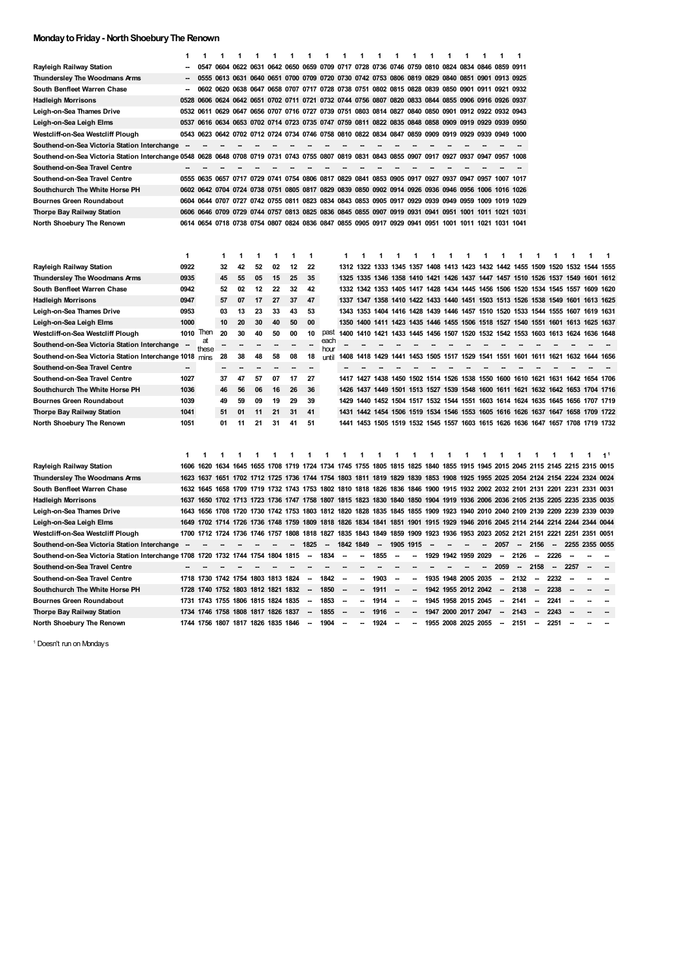### **MondaytoFriday- NorthShoeburyThe Renown**

|                                                                                 | 1                        | 1          | 1                                  | 1              | 1              | 1    | 1         | 1                        | 1            | 1                                                                                                                       | 1                        |           | 1                        | 1                                                                               | 1    | 1                                            | 1 | 1 | 1                        | 1                        |                          |           |                          |                |                |
|---------------------------------------------------------------------------------|--------------------------|------------|------------------------------------|----------------|----------------|------|-----------|--------------------------|--------------|-------------------------------------------------------------------------------------------------------------------------|--------------------------|-----------|--------------------------|---------------------------------------------------------------------------------|------|----------------------------------------------|---|---|--------------------------|--------------------------|--------------------------|-----------|--------------------------|----------------|----------------|
| Rayleigh Railway Station                                                        |                          |            |                                    |                |                |      |           |                          |              | 0547 0604 0622 0631 0642 0650 0659 0709 0717 0728 0736 0746 0759 0810 0824 0834 0846 0859 0911                          |                          |           |                          |                                                                                 |      |                                              |   |   |                          |                          |                          |           |                          |                |                |
| Thundersley The Woodmans Arms                                                   |                          |            |                                    |                |                |      |           |                          |              | 0555 0613 0631 0640 0651 0700 0709 0720 0730 0742 0753 0806 0819 0829 0840 0851 0901 0913 0925                          |                          |           |                          |                                                                                 |      |                                              |   |   |                          |                          |                          |           |                          |                |                |
| South Benfleet Warren Chase                                                     | $\overline{\phantom{a}}$ |            |                                    |                |                |      |           |                          |              | 0602 0620 0638 0647 0658 0707 0717 0728 0738 0751 0802 0815 0828 0839 0850 0901 0911 0921 0932                          |                          |           |                          |                                                                                 |      |                                              |   |   |                          |                          |                          |           |                          |                |                |
| <b>Hadleigh Morrisons</b>                                                       |                          | 0528 0606  |                                    |                |                |      |           |                          |              | 0624 0642 0651 0702 0711 0721 0732 0744 0756 0807 0820 0833 0844 0855 0906 0916 0926 0937                               |                          |           |                          |                                                                                 |      |                                              |   |   |                          |                          |                          |           |                          |                |                |
| Leigh-on-Sea Thames Drive                                                       |                          | 0532 0611  |                                    |                |                |      |           |                          |              | 0629 0647 0656 0707 0716 0727 0739 0751 0803 0814 0827 0840 0850 0901 0912 0922 0932 0943                               |                          |           |                          |                                                                                 |      |                                              |   |   |                          |                          |                          |           |                          |                |                |
| Leigh-on-Sea Leigh Elms                                                         |                          |            |                                    |                |                |      |           |                          |              | 0537 0616 0634 0653 0702 0714 0723 0735 0747 0759 0811 0822 0835 0848 0858 0909 0919 0929 0939 0950                     |                          |           |                          |                                                                                 |      |                                              |   |   |                          |                          |                          |           |                          |                |                |
| Westcliff-on-Sea Westcliff Plough                                               |                          |            |                                    |                |                |      |           |                          |              | 0543 0623 0642 0702 0712 0724 0734 0746 0758 0810 0822 0834 0847 0859 0909 0919 0929 0939 0949 1000                     |                          |           |                          |                                                                                 |      |                                              |   |   |                          |                          |                          |           |                          |                |                |
| Southend-on-Sea Victoria Station Interchange                                    |                          |            |                                    |                |                |      |           |                          |              |                                                                                                                         |                          |           |                          |                                                                                 |      |                                              |   |   |                          |                          |                          |           |                          |                |                |
| Southend-on-Sea Victoria Station Interchange 0548                               |                          |            | 0628 0648                          |                |                |      |           |                          |              | 0708 0719 0731 0743 0755 0807 0819 0831 0843 0855 0907 0917 0927 0937 0947 0957 1008                                    |                          |           |                          |                                                                                 |      |                                              |   |   |                          |                          |                          |           |                          |                |                |
| Southend-on-Sea Travel Centre                                                   |                          |            |                                    |                |                |      |           |                          |              |                                                                                                                         |                          |           |                          |                                                                                 |      |                                              |   |   |                          |                          |                          |           |                          |                |                |
| Southend-on-Sea Travel Centre                                                   |                          |            |                                    |                |                |      |           |                          |              | 0555 0635 0657 0717 0729 0741 0754 0806 0817 0829 0841 0853 0905 0917 0927 0937 0947 0957 1007 1017                     |                          |           |                          |                                                                                 |      |                                              |   |   |                          |                          |                          |           |                          |                |                |
| Southchurch The White Horse PH                                                  | 0602                     | 0642       |                                    | 0704 0724 0738 |                | 0751 | 0805 0817 |                          |              | 0829 0839                                                                                                               | 0850                     |           |                          | 0902 0914 0926                                                                  | 0936 | 0946 0956 1006                               |   |   | 1016 1026                |                          |                          |           |                          |                |                |
| <b>Bournes Green Roundabout</b>                                                 | 0604                     |            |                                    |                |                |      |           |                          |              | 0644 0707 0727 0742 0755 0811 0823 0834 0843 0853 0905 0917 0929 0939 0949 0959 1009                                    |                          |           |                          |                                                                                 |      |                                              |   |   | 1019 1029                |                          |                          |           |                          |                |                |
| Thorpe Bay Railway Station                                                      | 0606                     | 0646       | 0709                               |                | 0729 0744 0757 |      |           |                          |              | 0813 0825 0836 0845 0855 0907 0919 0931 0941 0951 1001 1011 1021 1031                                                   |                          |           |                          |                                                                                 |      |                                              |   |   |                          |                          |                          |           |                          |                |                |
| North Shoebury The Renown                                                       |                          |            |                                    |                |                |      |           |                          |              | 0614 0654 0718 0738 0754 0807 0824 0836 0847 0855 0905 0917 0929 0941 0951 1001 1011 1021 1031 1041                     |                          |           |                          |                                                                                 |      |                                              |   |   |                          |                          |                          |           |                          |                |                |
|                                                                                 |                          |            |                                    |                |                |      |           |                          |              |                                                                                                                         |                          |           |                          |                                                                                 |      |                                              |   |   |                          |                          |                          |           |                          |                |                |
|                                                                                 |                          |            |                                    |                |                |      |           |                          |              |                                                                                                                         |                          |           |                          |                                                                                 |      |                                              |   |   |                          |                          |                          |           |                          |                |                |
|                                                                                 | $\mathbf{1}$             |            | 1                                  | 1              | 1              | 1    | 1         | 1                        |              | 1                                                                                                                       | 1                        | 1         | 1                        | 1                                                                               | 1    | 1                                            | 1 | 1 | 1                        | 1                        | 1                        | 1         | 1                        | 1              | $\mathbf{1}$   |
| Rayleigh Railway Station                                                        | 0922                     |            | 32                                 | 42             | 52             | 02   | 12        | 22                       |              | 1312                                                                                                                    | 1322                     |           |                          | 1333 1345 1357 1408 1413 1423 1432 1442 1455 1509                               |      |                                              |   |   |                          |                          |                          | 1520      |                          | 1532 1544 1555 |                |
| Thundersley The Woodmans Arms                                                   | 0935                     |            | 45                                 | 55             | 05             | 15   | 25        | 35                       |              | 1325                                                                                                                    |                          |           |                          | 1335 1346 1358 1410 1421 1426 1437 1447 1457 1510 1526 1537 1549                |      |                                              |   |   |                          |                          |                          |           |                          | 1601           | 1612           |
| South Benfleet Warren Chase                                                     | 0942                     |            | 52                                 | 02             | 12             | 22   | 32        | 42                       |              |                                                                                                                         |                          |           |                          | 1332 1342 1353 1405 1417 1428 1434 1445 1456 1506 1520 1534 1545 1557 1609 1620 |      |                                              |   |   |                          |                          |                          |           |                          |                |                |
| <b>Hadleigh Morrisons</b>                                                       | 0947                     |            | 57                                 | 07             | 17             | 27   | 37        | 47                       |              |                                                                                                                         |                          |           |                          | 1337 1347 1358 1410 1422 1433 1440 1451 1503 1513 1526 1538 1549 1601 1613 1625 |      |                                              |   |   |                          |                          |                          |           |                          |                |                |
| Leigh-on-Sea Thames Drive                                                       | 0953                     |            | 03                                 | 13             | 23             | 33   | 43        | 53                       |              |                                                                                                                         |                          |           |                          | 1343 1353 1404 1416 1428 1439 1446 1457 1510 1520 1533 1544 1555                |      |                                              |   |   |                          |                          |                          |           |                          | 1607 1619 1631 |                |
| Leigh-on-Sea Leigh Elms                                                         | 1000                     |            | 10                                 | 20             | 30             | 40   | 50        | 00                       |              | 1350                                                                                                                    | 1400                     |           |                          | 1411 1423 1435 1446 1455 1506 1518 1527 1540 1551 1601                          |      |                                              |   |   |                          |                          |                          |           | 1613                     | 1625 1637      |                |
| Westcliff-on-Sea Westcliff Plough                                               | 1010                     | Then       | 20                                 | 30             | 40             | 50   | 00        | 10                       | past         | 1400                                                                                                                    | 1410                     | 1421      | 1433                     |                                                                                 |      | 1445 1456 1507 1520 1532 1542 1553 1603      |   |   |                          |                          |                          | 1613      | 1624                     | 1636           | 1648           |
| Southend-on-Sea Victoria Station Interchange                                    |                          | a<br>these |                                    |                |                | --   |           | ۰.                       | each<br>hour |                                                                                                                         |                          |           |                          |                                                                                 |      |                                              |   |   |                          |                          |                          |           |                          |                |                |
| Southend-on-Sea Victoria Station Interchange 1018                               |                          | mins       | 28                                 | 38             | 48             | 58   | 08        | 18                       | until        |                                                                                                                         |                          |           |                          | 1408 1418 1429 1441 1453 1505 1517 1529 1541 1551 1601 1611 1621 1632 1644 1656 |      |                                              |   |   |                          |                          |                          |           |                          |                |                |
| Southend-on-Sea Travel Centre                                                   | $\overline{\phantom{a}}$ |            |                                    |                |                |      |           | -                        |              |                                                                                                                         |                          |           |                          |                                                                                 |      |                                              |   |   |                          |                          |                          |           |                          |                |                |
| Southend-on-Sea Travel Centre                                                   | 1027                     |            | 37                                 | 47             | 57             | 07   | 17        | 27                       |              |                                                                                                                         |                          |           |                          | 1417 1427 1438 1450 1502 1514 1526 1538 1550 1600 1610 1621 1631 1642 1654 1706 |      |                                              |   |   |                          |                          |                          |           |                          |                |                |
| Southchurch The White Horse PH                                                  | 1036                     |            | 46                                 | 56             | 06             | 16   | 26        | 36                       |              | 1426                                                                                                                    | 1437                     |           |                          | 1449 1501 1513 1527 1539 1548 1600 1611                                         |      |                                              |   |   |                          | 1621                     |                          | 1632 1642 | 1653                     | 1704 1716      |                |
| <b>Bournes Green Roundabout</b>                                                 | 1039                     |            | 49                                 | 59             | 09             | 19   | 29        | 39                       |              | 1429                                                                                                                    | 1440                     |           |                          | 1452 1504 1517 1532 1544 1551 1603 1614 1624 1635 1645                          |      |                                              |   |   |                          |                          |                          |           | 1656                     | 1707 1719      |                |
| Thorpe Bay Railway Station                                                      | 1041                     |            | 51                                 | 01             | 11             | 21   | 31        | 41                       |              | 1431                                                                                                                    |                          |           |                          | 1442 1454 1506 1519 1534 1546 1553 1605 1616 1626 1637 1647                     |      |                                              |   |   |                          |                          |                          |           | 1658                     | 1709 1722      |                |
| North Shoebury The Renown                                                       | 1051                     |            | 01                                 | 11             | 21             | 31   | 41        | 51                       |              |                                                                                                                         |                          |           |                          | 1441 1453 1505 1519 1532 1545 1557 1603 1615 1626 1636 1647 1657 1708 1719 1732 |      |                                              |   |   |                          |                          |                          |           |                          |                |                |
|                                                                                 |                          |            |                                    |                |                |      |           |                          |              |                                                                                                                         |                          |           |                          |                                                                                 |      |                                              |   |   |                          |                          |                          |           |                          |                |                |
|                                                                                 |                          |            |                                    |                |                |      |           |                          |              |                                                                                                                         |                          |           |                          |                                                                                 |      |                                              |   |   |                          |                          |                          |           |                          |                |                |
|                                                                                 | 1                        | 1          |                                    |                | 1              | 1    |           |                          |              | 1                                                                                                                       | 1                        |           | 1                        | 1                                                                               | 1    |                                              | 1 | 1 | 1                        | 1                        |                          | 1         | 1                        | 1              | 1 <sup>1</sup> |
| Rayleigh Railway Station                                                        | 1606                     |            |                                    |                |                |      |           |                          |              | 1620 1634 1645 1655 1708 1719 1724 1734 1745 1755 1805 1815 1825 1840 1855 1915 1945 2015 2045 2115 2145 2215 2315 0015 |                          |           |                          |                                                                                 |      |                                              |   |   |                          |                          |                          |           |                          |                |                |
| Thundersley The Woodmans Arms                                                   | 1623                     | 1637       |                                    |                |                |      |           |                          |              | 1651 1702 1712 1725 1736 1744 1754 1803 1811 1819 1829 1839 1853 1908 1925 1955 2025 2054 2124 2154 2224 2324           |                          |           |                          |                                                                                 |      |                                              |   |   |                          |                          |                          |           |                          |                | 0024           |
| South Benfleet Warren Chase                                                     |                          | 1632 1645  |                                    |                |                |      |           |                          |              | 1658 1709 1719 1732 1743 1753 1802 1810 1818 1826 1836 1846 1900 1915 1932 2002 2032 2101 2131 2201 2231 2331           |                          |           |                          |                                                                                 |      |                                              |   |   |                          |                          |                          |           |                          |                | 0031           |
| <b>Hadleigh Morrisons</b>                                                       | 1637                     | 1650       |                                    |                |                |      |           |                          |              | 1702 1713 1723 1736 1747 1758 1807 1815 1823 1830 1840 1850 1904 1919 1936 2006 2036 2105 2135 2205 2235 2335           |                          |           |                          |                                                                                 |      |                                              |   |   |                          |                          |                          |           |                          |                | 0035           |
| Leigh-on-Sea Thames Drive                                                       | 1643                     |            |                                    |                |                |      |           |                          |              | 1656 1708 1720 1730 1742 1753 1803 1812 1820 1828 1835 1845 1855 1909 1923 1940 2010 2040 2109 2139 2209 2239 2339 0039 |                          |           |                          |                                                                                 |      |                                              |   |   |                          |                          |                          |           |                          |                |                |
| Leigh-on-Sea Leigh Elms                                                         | 1649                     |            | 1702 1714 1726 1736 1748 1759      |                |                |      |           |                          |              | 1809 1818 1826 1834 1841 1851 1901                                                                                      |                          |           |                          |                                                                                 | 1915 | 1929 1946 2016 2045 2114 2144 2214 2244 2344 |   |   |                          |                          |                          |           |                          |                | 0044           |
| Westcliff-on-Sea Westcliff Plough                                               | 1700                     | 1712       | 1724                               | 1736 1746      |                | 1757 | 1808      | 1818                     |              | 1827 1835 1843                                                                                                          |                          | 1849 1859 |                          | 1909                                                                            | 1923 | 1936 1953 2023 2052 2121                     |   |   |                          |                          | 2151                     | 2221      | 2251                     | 2351           | 0051           |
| Southend-on-Sea Victoria Station Interchange                                    |                          |            |                                    |                |                |      |           | 1825                     | -            | 1842                                                                                                                    | 1849                     |           | 1905                     | 1915                                                                            |      |                                              |   |   | 2057                     | $\overline{\phantom{a}}$ | 2156                     | --        | 2255 2355                |                | 0055           |
| Southend-on-Sea Victoria Station Interchange 1708 1720 1732 1744 1754 1804 1815 |                          |            |                                    |                |                |      |           | --                       | 1834         | -                                                                                                                       | --                       | 1855      | -                        |                                                                                 |      | 1929 1942 1959 2029                          |   |   | --                       | 2126                     | --                       | 2226      | --                       |                |                |
| Southend-on-Sea Travel Centre                                                   |                          |            |                                    |                |                |      |           |                          |              |                                                                                                                         |                          |           |                          |                                                                                 |      |                                              |   |   | 2059                     | $\overline{\phantom{a}}$ | 2158                     | --        | 2257                     |                |                |
| Southend-on-Sea Travel Centre                                                   |                          |            | 1718 1730 1742 1754 1803 1813 1824 |                |                |      |           | $\overline{\phantom{a}}$ | 1842         | $\overline{\phantom{a}}$                                                                                                | $\overline{\phantom{a}}$ | 1903      | $\overline{\phantom{a}}$ | $\overline{\phantom{a}}$                                                        |      | 1935 1948 2005 2035                          |   |   | -                        | 2132                     | $\overline{\phantom{a}}$ | 2232      | $\overline{\phantom{a}}$ | --             | --             |
| Southchurch The White Horse PH                                                  | 1728                     | 1740       | 1752                               |                | 1803 1812 1821 |      | 1832      |                          | 1850         |                                                                                                                         |                          | 1911      |                          |                                                                                 | 1942 | 1955 2012 2042                               |   |   |                          | 2138                     |                          | 2238      |                          |                |                |
| <b>Bournes Green Roundabout</b>                                                 | 1731                     |            | 1743 1755 1806 1815 1824 1835      |                |                |      |           | $\overline{a}$           | 1853         | $\overline{\phantom{a}}$                                                                                                | -                        | 1914      | $\overline{\phantom{a}}$ |                                                                                 | 1945 | 1958 2015 2045                               |   |   | -                        | 2141                     | $\overline{\phantom{a}}$ | 2241      | -                        |                |                |
| Thorpe Bay Railway Station                                                      |                          |            | 1734 1746 1758 1808 1817 1826 1837 |                |                |      |           | --                       | 1855         |                                                                                                                         |                          | 1916      | $\sim$                   |                                                                                 |      | 1947 2000 2017 2047                          |   |   | $\overline{\phantom{a}}$ | 2143                     |                          | 2243      |                          |                |                |
| North Shoebury The Renown                                                       |                          |            | 1744 1756 1807 1817 1826 1835 1846 |                |                |      |           | $\overline{\phantom{a}}$ | 1904         |                                                                                                                         | $\overline{a}$           | 1924      | -                        |                                                                                 |      | 1955 2008 2025 2055                          |   |   | $\sim$                   | 2151                     | $\overline{\phantom{a}}$ | 2251      | $\overline{\phantom{a}}$ |                |                |

<span id="page-1-0"></span>Doesn't run on Mondays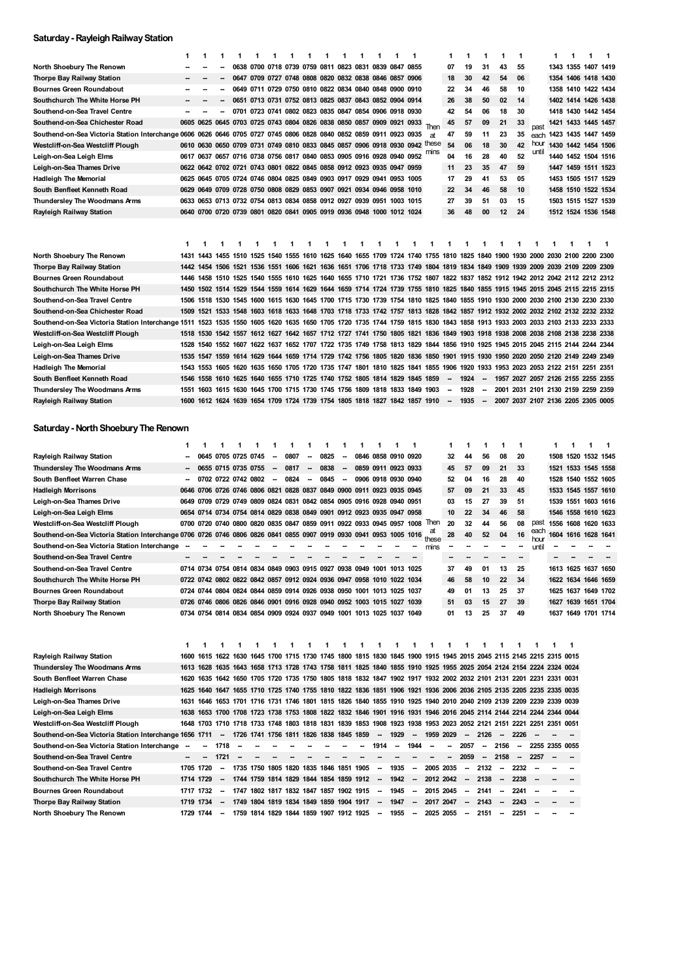### **Saturday- RayleighRailwayStation**

|                                                                                                                                                                           | 1    | 1 | 1 | 1 | 1                                                                     | 1 | 1 | 1 | 1 | 1 | 1 | 1  | 1 | $\mathbf 1$                                                                                                                       |      | 1                        | 1       | 1      | 1                                    | 1  |       | 1 | 1 | 1                                  | $\mathbf{1}$ |
|---------------------------------------------------------------------------------------------------------------------------------------------------------------------------|------|---|---|---|-----------------------------------------------------------------------|---|---|---|---|---|---|----|---|-----------------------------------------------------------------------------------------------------------------------------------|------|--------------------------|---------|--------|--------------------------------------|----|-------|---|---|------------------------------------|--------------|
| North Shoebury The Renown                                                                                                                                                 |      |   |   |   | 0638 0700 0718 0739 0759 0811 0823 0831 0839 0847 0855                |   |   |   |   |   |   |    |   |                                                                                                                                   |      | 07                       | 19      | 31     | 43                                   | 55 |       |   |   | 1343 1355 1407 1419                |              |
| Thorpe Bay Railway Station                                                                                                                                                |      |   |   |   | 0647 0709 0727 0748 0808 0820 0832 0838 0846 0857 0906                |   |   |   |   |   |   |    |   |                                                                                                                                   |      | 18                       | 30      | 42     | 54                                   | 06 |       |   |   | 1354 1406 1418 1430                |              |
| <b>Bournes Green Roundabout</b>                                                                                                                                           |      |   |   |   | 0649 0711 0729 0750 0810 0822 0834 0840 0848 0900 0910                |   |   |   |   |   |   |    |   |                                                                                                                                   |      | 22                       | 34      | 46     | 58                                   | 10 |       |   |   | 1358 1410 1422 1434                |              |
| Southchurch The White Horse PH                                                                                                                                            |      |   |   |   | 0651 0713 0731 0752 0813 0825 0837 0843 0852 0904 0914                |   |   |   |   |   |   |    |   |                                                                                                                                   |      | 26                       | 38      | 50     | 02                                   | 14 |       |   |   | 1402 1414 1426 1438                |              |
| Southend-on-Sea Travel Centre                                                                                                                                             |      |   |   |   | 0701 0723 0741 0802 0823 0835 0847 0854 0906 0918 0930                |   |   |   |   |   |   |    |   |                                                                                                                                   |      | 42                       | 54      | 06     | 18                                   | 30 |       |   |   | 1418 1430 1442 1454                |              |
| Southend-on-Sea Chichester Road                                                                                                                                           |      |   |   |   | 0605 0625 0645 0703 0725 0743 0804 0826 0838 0850 0857 0909 0921 0933 |   |   |   |   |   |   |    |   |                                                                                                                                   |      | 45                       | 57      | 09     | 21                                   | 33 | past  |   |   | 1421 1433 1445 1457                |              |
| Southend-on-Sea Victoria Station Interchange 0606 0626 0646 0705 0727 0745 0806 0828 0840 0852 0859 0911 0923 0935                                                        |      |   |   |   |                                                                       |   |   |   |   |   |   |    |   |                                                                                                                                   | аt   | 47                       | 59      | 11     | 23                                   | 35 |       |   |   | each 1423 1435 1447 1459           |              |
| Westcliff-on-Sea Westcliff Plough                                                                                                                                         |      |   |   |   |                                                                       |   |   |   |   |   |   |    |   | 0610 0630 0650 0709 0731 0749 0810 0833 0845 0857 0906 0918 0930 0942 these                                                       |      | 54                       | 06      | 18     | 30                                   | 42 | hour  |   |   | 1430 1442 1454 1506                |              |
| Leigh-on-Sea Leigh Elms                                                                                                                                                   |      |   |   |   | 0617 0637 0657 0716 0738 0756 0817 0840 0853 0905 0916 0928 0940 0952 |   |   |   |   |   |   |    |   |                                                                                                                                   | mıns | 04                       | 16      | 28     | 40                                   | 52 | until |   |   | 1440 1452 1504 1516                |              |
| Leigh-on-Sea Thames Drive                                                                                                                                                 |      |   |   |   | 0622 0642 0702 0721 0743 0801 0822 0845 0858 0912 0923 0935 0947 0959 |   |   |   |   |   |   |    |   |                                                                                                                                   |      | 11                       | 23      | 35     | 47                                   | 59 |       |   |   | 1447 1459 1511 1523                |              |
| <b>Hadleigh The Memorial</b>                                                                                                                                              |      |   |   |   | 0625 0645 0705 0724 0746 0804 0825 0849 0903 0917 0929 0941 0953 1005 |   |   |   |   |   |   |    |   |                                                                                                                                   |      | 17                       | 29      | 41     | 53                                   | 05 |       |   |   | 1453 1505 1517 1529                |              |
| South Benfleet Kenneth Road                                                                                                                                               |      |   |   |   | 0629 0649 0709 0728 0750 0808 0829 0853 0907 0921 0934 0946 0958 1010 |   |   |   |   |   |   |    |   |                                                                                                                                   |      | 22                       | 34      | 46     | 58                                   | 10 |       |   |   | 1458 1510 1522 1534                |              |
| Thundersley The Woodmans Arms                                                                                                                                             |      |   |   |   | 0633 0653 0713 0732 0754 0813 0834 0858 0912 0927 0939 0951 1003 1015 |   |   |   |   |   |   |    |   |                                                                                                                                   |      | 27                       | 39      | 51     | 03                                   | 15 |       |   |   | 1503 1515 1527 1539                |              |
| Rayleigh Railway Station                                                                                                                                                  |      |   |   |   | 0640 0700 0720 0739 0801 0820 0841 0905 0919 0936 0948 1000 1012 1024 |   |   |   |   |   |   |    |   |                                                                                                                                   |      | 36                       | 48      | 00     | 12                                   | 24 |       |   |   | 1512 1524 1536 1548                |              |
| North Shoebury The Renown                                                                                                                                                 | 1    | 1 |   |   |                                                                       | 1 | 1 | 1 | 1 | 1 | 1 | 1. | 1 | 1<br>1431 1443 1455 1510 1525 1540 1555 1610 1625 1640 1655 1709 1724 1740 1755 1810 1825 1840 1900 1930 2000 2030 2100 2200 2300 | 1    |                          | 1       |        | 1                                    | 1  | 1     |   |   |                                    | -1           |
| Thorpe Bay Railway Station                                                                                                                                                |      |   |   |   |                                                                       |   |   |   |   |   |   |    |   | 1442 1454 1506 1521 1536 1551 1606 1621 1636 1651 1706 1718 1733 1749 1804 1819 1834 1849 1909 1939 2009 2039 2109 2209 2309      |      |                          |         |        |                                      |    |       |   |   |                                    |              |
| <b>Bournes Green Roundabout</b>                                                                                                                                           | 1446 |   |   |   |                                                                       |   |   |   |   |   |   |    |   | 1458 1510 1525 1540 1555 1610 1625 1640 1655 1710 1721 1736 1752 1807 1822 1837 1852 1912 1942 2012 2042 2112 2212 2312           |      |                          |         |        |                                      |    |       |   |   |                                    |              |
| Southchurch The White Horse PH                                                                                                                                            |      |   |   |   |                                                                       |   |   |   |   |   |   |    |   | 1450 1502 1514 1529 1544 1559 1614 1629 1644 1659 1714 1724 1739 1755 1810 1825 1840 1855 1915 1945 2015 2045 2115 2215 2315      |      |                          |         |        |                                      |    |       |   |   |                                    |              |
| Southend-on-Sea Travel Centre                                                                                                                                             |      |   |   |   |                                                                       |   |   |   |   |   |   |    |   | 1506 1518 1530 1545 1600 1615 1630 1645 1700 1715 1730 1739 1754 1810 1825 1840 1855 1910 1930 2000 2030 2100 2130 2230 2330      |      |                          |         |        |                                      |    |       |   |   |                                    |              |
| Southend-on-Sea Chichester Road                                                                                                                                           | 1509 |   |   |   |                                                                       |   |   |   |   |   |   |    |   | 1521 1533 1548 1603 1618 1633 1648 1703 1718 1733 1742 1757 1813 1828 1842 1857 1912 1932 2002 2032 2102 2132 2232 2332           |      |                          |         |        |                                      |    |       |   |   |                                    |              |
| Southend-on-Sea Victoria Station Interchange 1511 1523 1535 1550 1605 1620 1635 1650 1705 1720 1735 1744 1759 1815 1830 1843 1858 1913 1933 2003 2033 2103 2133 2233 2333 |      |   |   |   |                                                                       |   |   |   |   |   |   |    |   |                                                                                                                                   |      |                          |         |        |                                      |    |       |   |   |                                    |              |
| Westcliff-on-Sea Westcliff Plough                                                                                                                                         |      |   |   |   |                                                                       |   |   |   |   |   |   |    |   | 1518 1530 1542 1557 1612 1627 1642 1657 1712 1727 1741 1750 1805 1821 1836 1849 1903 1918 1938 2008 2038 2108 2138 2238 2338      |      |                          |         |        |                                      |    |       |   |   |                                    |              |
| Leigh-on-Sea Leigh Elms                                                                                                                                                   |      |   |   |   |                                                                       |   |   |   |   |   |   |    |   | 1528 1540 1552 1607 1622 1637 1652 1707 1722 1735 1749 1758 1813 1829 1844 1856 1910 1925 1945 2015 2045 2115 2144 2244 2344      |      |                          |         |        |                                      |    |       |   |   |                                    |              |
| Leigh-on-Sea Thames Drive                                                                                                                                                 |      |   |   |   |                                                                       |   |   |   |   |   |   |    |   | 1535 1547 1559 1614 1629 1644 1659 1714 1729 1742 1756 1805 1820 1836 1850 1901 1915 1930 1950 2020 2050 2120 2149 2249 2349      |      |                          |         |        |                                      |    |       |   |   |                                    |              |
| <b>Hadleigh The Memorial</b>                                                                                                                                              | 1543 |   |   |   |                                                                       |   |   |   |   |   |   |    |   | 1553 1605 1620 1635 1650 1705 1720 1735 1747 1801 1810 1825 1841 1855 1906 1920 1933 1953 2023 2053 2122 2151 2251 2351           |      |                          |         |        |                                      |    |       |   |   |                                    |              |
| South Benfleet Kenneth Road                                                                                                                                               | 1546 |   |   |   |                                                                       |   |   |   |   |   |   |    |   | 1558 1610 1625 1640 1655 1710 1725 1740 1752 1805 1814 1829 1845 1859                                                             |      |                          | -- 1924 |        | - 1957 2027 2057 2126 2155 2255 2355 |    |       |   |   |                                    |              |
| Thundersley The Woodmans Arms                                                                                                                                             | 1551 |   |   |   |                                                                       |   |   |   |   |   |   |    |   | 1603 1615 1630 1645 1700 1715 1730 1745 1756 1809 1818 1833 1849 1903                                                             |      | $\overline{\phantom{a}}$ | 1928    | $\sim$ |                                      |    |       |   |   | 2001 2031 2101 2130 2159 2259 2359 |              |
| Rayleigh Railway Station                                                                                                                                                  |      |   |   |   |                                                                       |   |   |   |   |   |   |    |   | 1600 1612 1624 1639 1654 1709 1724 1739 1754 1805 1818 1827 1842 1857 1910 - 1935 - 2007 2037 2107 2136 2205 2305 0005            |      |                          |         |        |                                      |    |       |   |   |                                    |              |
|                                                                                                                                                                           |      |   |   |   |                                                                       |   |   |   |   |   |   |    |   |                                                                                                                                   |      |                          |         |        |                                      |    |       |   |   |                                    |              |
| Saturday - North Shoebury The Renown                                                                                                                                      |      |   |   |   |                                                                       |   |   |   |   |   |   |    |   |                                                                                                                                   |      |                          |         |        |                                      |    |       |   |   |                                    |              |

|                                                                                                                    | 1    | 1         | 1                        | 1                        | 1                                                                          | 1      | 1    | 1      | 1    | 1      | 1 | 1                        | 1        | 1                        |                          | 1                        | 1                        | 1       | 1                        | 1                        |                                                                                                                    | 1      | 1      | 1                   | $\mathbf 1$ |
|--------------------------------------------------------------------------------------------------------------------|------|-----------|--------------------------|--------------------------|----------------------------------------------------------------------------|--------|------|--------|------|--------|---|--------------------------|----------|--------------------------|--------------------------|--------------------------|--------------------------|---------|--------------------------|--------------------------|--------------------------------------------------------------------------------------------------------------------|--------|--------|---------------------|-------------|
| Rayleigh Railway Station                                                                                           |      |           |                          |                          | 0645 0705 0725 0745                                                        | $\sim$ | 0807 | $\sim$ | 0825 | $\sim$ |   | 0846 0858 0910 0920      |          |                          |                          | 32                       | 44                       | 56      | 08                       | 20                       |                                                                                                                    |        |        | 1508 1520 1532 1545 |             |
| Thundersley The Woodmans Arms                                                                                      |      |           |                          |                          | 0655 0715 0735 0755                                                        | $\sim$ | 0817 | $\sim$ | 0838 | $\sim$ |   | 0859 0911 0923 0933      |          |                          |                          | 45                       | 57                       | 09      | 21                       | 33                       |                                                                                                                    |        |        | 1521 1533 1545 1558 |             |
| South Benfleet Warren Chase                                                                                        |      |           |                          |                          | 0702 0722 0742 0802                                                        | $\sim$ | 0824 | $\sim$ | 0845 | $\sim$ |   | 0906 0918 0930 0940      |          |                          |                          | 52                       | 04                       | 16      | 28                       | 40                       |                                                                                                                    |        |        | 1528 1540 1552 1605 |             |
| Hadleigh Morrisons                                                                                                 | 0646 |           |                          |                          | 0706 0726 0746 0806 0821 0828 0837 0849 0900 0911 0923 0935 0945           |        |      |        |      |        |   |                          |          |                          |                          | 57                       | 09                       | 21      | 33                       | 45                       |                                                                                                                    |        |        | 1533 1545 1557 1610 |             |
| Leigh-on-Sea Thames Drive                                                                                          |      |           |                          |                          | 0649 0709 0729 0749 0809 0824 0831 0842 0854 0905 0916 0928 0940 0951      |        |      |        |      |        |   |                          |          |                          |                          | 03                       | 15                       | 27      | 39                       | 51                       |                                                                                                                    |        |        | 1539 1551 1603 1616 |             |
| Leigh-on-Sea Leigh Elms                                                                                            |      |           |                          |                          | 0654 0714 0734 0754 0814 0829 0838 0849 0901 0912 0923 0935 0947 0958      |        |      |        |      |        |   |                          |          |                          |                          | 10                       | 22                       | 34      | 46                       | 58                       |                                                                                                                    |        |        | 1546 1558 1610 1623 |             |
| Westcliff-on-Sea Westcliff Plough                                                                                  |      |           |                          |                          | 0700 0720 0740 0800 0820 0835 0847 0859 0911 0922 0933 0945 0957 1008 lhen |        |      |        |      |        |   |                          |          |                          |                          | 20                       | 32                       | 44      | 56                       | 08                       | past                                                                                                               |        |        | 1556 1608 1620 1633 |             |
| Southend-on-Sea Victoria Station Interchange 0706 0726 0746 0806 0826 0841 0855 0907 0919 0930 0941 0953 1005 1016 |      |           |                          |                          |                                                                            |        |      |        |      |        |   |                          |          |                          | these                    | 28                       | 40                       | 52      | 04                       | 16                       | each<br>hour                                                                                                       |        |        | 1604 1616 1628 1641 |             |
| Southend-on-Sea Victoria Station Interchange -                                                                     |      |           |                          |                          |                                                                            |        |      |        |      |        |   |                          |          |                          | mins                     |                          |                          |         |                          | -                        | until                                                                                                              |        |        |                     |             |
| Southend-on-Sea Travel Centre                                                                                      |      |           |                          |                          |                                                                            |        |      |        |      |        |   |                          |          |                          |                          |                          |                          |         |                          |                          |                                                                                                                    |        |        |                     |             |
| Southend-on-Sea Travel Centre                                                                                      |      |           |                          |                          | 0714 0734 0754 0814 0834 0849 0903 0915 0927 0938 0949 1001 1013 1025      |        |      |        |      |        |   |                          |          |                          |                          | 37                       | 49                       | 01      | 13                       | 25                       |                                                                                                                    |        |        | 1613 1625 1637 1650 |             |
| Southchurch The White Horse PH                                                                                     |      |           |                          |                          | 0722 0742 0802 0822 0842 0857 0912 0924 0936 0947 0958 1010 1022 1034      |        |      |        |      |        |   |                          |          |                          |                          | 46                       | 58                       | 10      | 22                       | 34                       |                                                                                                                    |        |        | 1622 1634 1646 1659 |             |
| Bournes Green Roundabout                                                                                           |      |           |                          |                          | 0724 0744 0804 0824 0844 0859 0914 0926 0938 0950 1001 1013 1025 1037      |        |      |        |      |        |   |                          |          |                          |                          | 49                       | 01                       | 13      | 25                       | 37                       |                                                                                                                    |        |        | 1625 1637 1649 1702 |             |
| Thorpe Bay Railway Station                                                                                         |      |           |                          |                          | 0726 0746 0806 0826 0846 0901 0916 0928 0940 0952 1003 1015 1027 1039      |        |      |        |      |        |   |                          |          |                          |                          | 51                       | 03                       | 15      | 27                       | 39                       |                                                                                                                    |        |        | 1627 1639 1651 1704 |             |
| North Shoebury The Renown                                                                                          |      |           |                          |                          | 0734 0754 0814 0834 0854 0909 0924 0937 0949 1001 1013 1025 1037 1049      |        |      |        |      |        |   |                          |          |                          |                          | 01                       | 13                       | 25      | 37                       | 49                       |                                                                                                                    | 1637   |        | 1649 1701 1714      |             |
|                                                                                                                    | 1    |           | 1                        | 1                        | 1                                                                          | 1      | 1    |        |      |        | 1 | 1                        | 1        |                          |                          |                          |                          |         | 1                        | 1                        |                                                                                                                    |        | 1      |                     |             |
| Rayleigh Railway Station                                                                                           |      |           |                          |                          |                                                                            |        |      |        |      |        |   |                          |          |                          |                          |                          |                          |         |                          |                          | 1600 1615 1622 1630 1645 1700 1715 1730 1745 1800 1815 1830 1845 1900 1915 1945 2015 2045 2115 2145 2215 2315 0015 |        |        |                     |             |
| Thundersley The Woodmans Arms                                                                                      |      |           |                          |                          |                                                                            |        |      |        |      |        |   |                          |          |                          |                          |                          |                          |         |                          |                          | 1613 1628 1635 1643 1658 1713 1728 1743 1758 1811 1825 1840 1855 1910 1925 1955 2025 2054 2124 2154 2224 2324 0024 |        |        |                     |             |
| South Benfleet Warren Chase                                                                                        |      |           |                          |                          |                                                                            |        |      |        |      |        |   |                          |          |                          |                          |                          |                          |         |                          |                          | 1620 1635 1642 1650 1705 1720 1735 1750 1805 1818 1832 1847 1902 1917 1932 2002 2032 2101 2131 2201 2231 2331 0031 |        |        |                     |             |
| <b>Hadleigh Morrisons</b>                                                                                          |      |           |                          |                          |                                                                            |        |      |        |      |        |   |                          |          |                          |                          |                          |                          |         |                          |                          | 1625 1640 1647 1655 1710 1725 1740 1755 1810 1822 1836 1851 1906 1921 1936 2006 2036 2105 2135 2205 2235 2335 0035 |        |        |                     |             |
| Leigh-on-Sea Thames Drive                                                                                          |      |           |                          |                          |                                                                            |        |      |        |      |        |   |                          |          |                          |                          |                          |                          |         |                          |                          | 1631 1646 1653 1701 1716 1731 1746 1801 1815 1826 1840 1855 1910 1925 1940 2010 2040 2109 2139 2209 2239 2339 0039 |        |        |                     |             |
| Leigh-on-Sea Leigh Elms                                                                                            |      |           |                          |                          |                                                                            |        |      |        |      |        |   |                          |          |                          |                          |                          |                          |         |                          |                          | 1638 1653 1700 1708 1723 1738 1753 1808 1822 1832 1846 1901 1916 1931 1946 2016 2045 2114 2144 2214 2244 2344 0044 |        |        |                     |             |
| Westcliff-on-Sea Westcliff Plough                                                                                  |      |           |                          |                          |                                                                            |        |      |        |      |        |   |                          |          |                          |                          |                          |                          |         |                          |                          | 1648 1703 1710 1718 1733 1748 1803 1818 1831 1839 1853 1908 1923 1938 1953 2023 2052 2121 2151 2221 2251 2351 0051 |        |        |                     |             |
| Southend-on-Sea Victoria Station Interchange 1656 1711 -- 1726 1741 1756 1811 1826 1838 1845 1859                  |      |           |                          |                          |                                                                            |        |      |        |      |        |   |                          | -- 1929  |                          | $- 19592029$             |                          |                          | $-2126$ | $\sim$                   | 2226                     | $\overline{\phantom{a}}$                                                                                           |        |        |                     |             |
| Southend-on-Sea Victoria Station Interchange -                                                                     |      | $\sim$    | 1718                     |                          |                                                                            |        |      |        |      |        |   | 1914                     | -        | 1944                     | $\overline{\phantom{a}}$ | -                        | 2057                     | $\sim$  | 2156                     | $\overline{\phantom{a}}$ | 2255 2355 0055                                                                                                     |        |        |                     |             |
| Southend-on-Sea Travel Centre                                                                                      |      | --        | 1721                     | $\overline{\phantom{a}}$ |                                                                            |        |      |        |      |        |   |                          |          |                          | -                        | $\overline{\phantom{a}}$ | 2059                     | $\sim$  | 2158                     | $\sim$                   | 2257                                                                                                               | $\sim$ |        |                     |             |
| Southend-on-Sea Travel Centre                                                                                      |      | 1705 1720 | $\overline{\phantom{a}}$ |                          | 1735 1750 1805 1820 1835 1846 1851 1905                                    |        |      |        |      |        |   | $\overline{\phantom{a}}$ | 1935     | $\overline{\phantom{a}}$ | 2005 2035                |                          | $\overline{\phantom{a}}$ | 2132    | $\overline{\phantom{a}}$ | 2232                     |                                                                                                                    |        |        |                     |             |
| Southchurch The White Horse PH                                                                                     |      | 1714 1729 | $\overline{\phantom{a}}$ |                          | 1744 1759 1814 1829 1844 1854 1859 1912                                    |        |      |        |      |        |   | $\overline{\phantom{a}}$ | 1942     | $\sim$                   | 2012 2042                |                          | $\overline{\phantom{a}}$ | 2138    | $\overline{\phantom{a}}$ | 2238                     | $\overline{\phantom{a}}$                                                                                           |        |        |                     |             |
| <b>Bournes Green Roundabout</b>                                                                                    |      | 1717 1732 | $\sim$                   |                          | 1747 1802 1817 1832 1847 1857 1902 1915                                    |        |      |        |      |        |   | $\overline{\phantom{a}}$ | 1945     | $\sim$                   | 2015 2045                |                          | $\overline{\phantom{a}}$ | 2141    | $\overline{\phantom{a}}$ | 2241                     | --                                                                                                                 |        | $\sim$ |                     |             |
| Thorpe Bay Railway Station                                                                                         |      | 1719 1734 |                          |                          | - 1749 1804 1819 1834 1849 1859 1904 1917                                  |        |      |        |      |        |   | $\sim$                   | 1947     | $\sim$                   | 2017 2047                |                          | $\overline{\phantom{a}}$ | 2143    | $\sim$                   | 2243                     | $\overline{\phantom{a}}$                                                                                           |        |        |                     |             |
| North Shoebury The Renown                                                                                          |      | 1729 1744 |                          |                          | - 1759 1814 1829 1844 1859 1907 1912 1925                                  |        |      |        |      |        |   |                          | $- 1955$ | $\sim$                   | 2025 2055                |                          | $\sim$                   | 2151    | $\sim$                   | 2251                     |                                                                                                                    |        |        |                     |             |